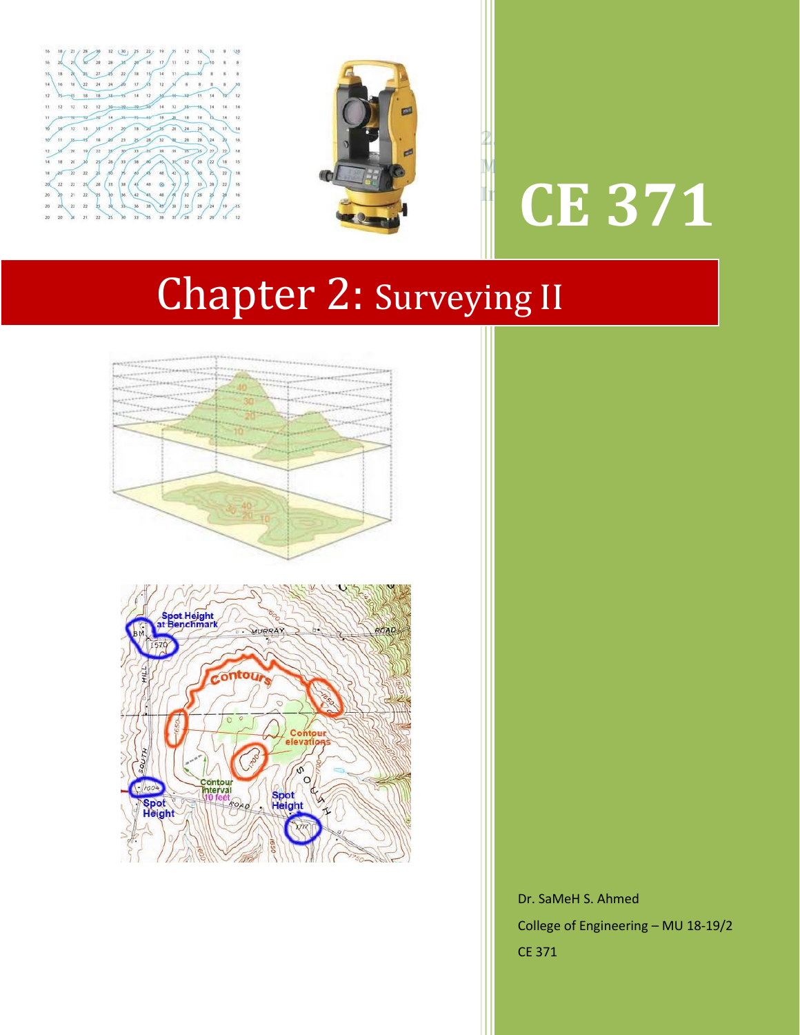



# **Measurements for Inclined Sights CE 371**

**2.3 Stadia** 

# Chapter 2: Surveying II



Dr. SaMeH S. Ahmed College of Engineering – MU 18-19/2 CE 371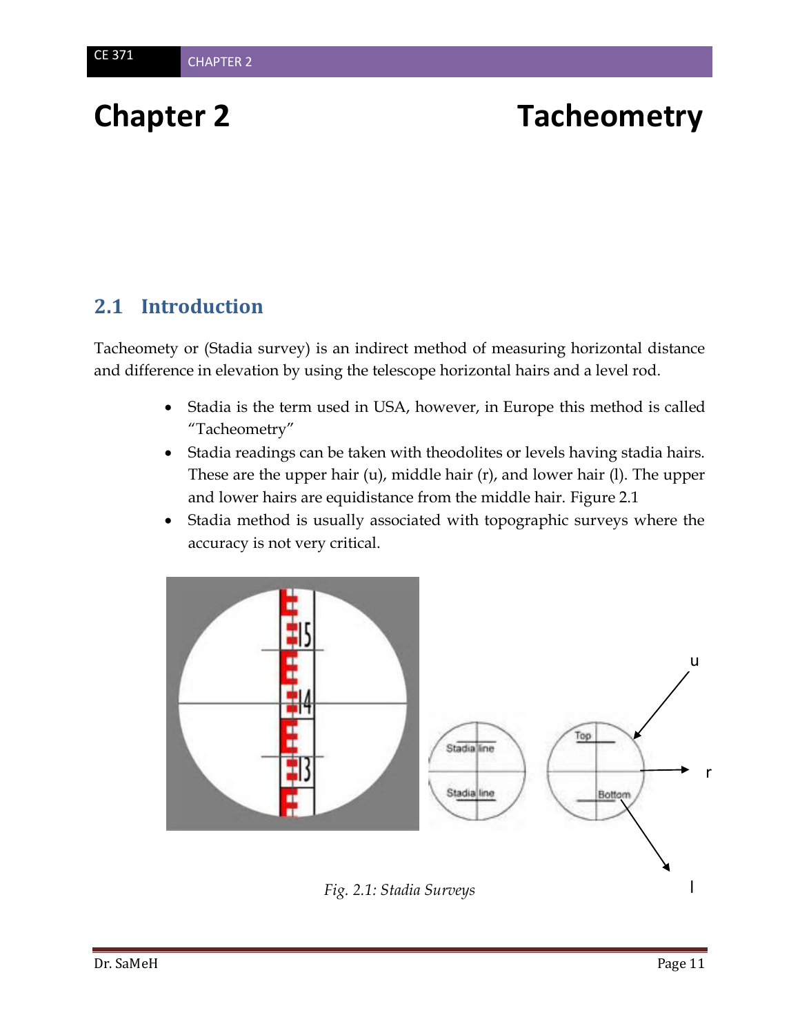# **Chapter 2 Tacheometry**

# **2.1 Introduction**

Tacheomety or (Stadia survey) is an indirect method of measuring horizontal distance and difference in elevation by using the telescope horizontal hairs and a level rod.

- Stadia is the term used in USA, however, in Europe this method is called "Tacheometry"
- Stadia readings can be taken with theodolites or levels having stadia hairs. These are the upper hair (u), middle hair (r), and lower hair (l). The upper and lower hairs are equidistance from the middle hair. Figure 2.1
- Stadia method is usually associated with topographic surveys where the accuracy is not very critical.



*Fig. 2.1: Stadia Surveys*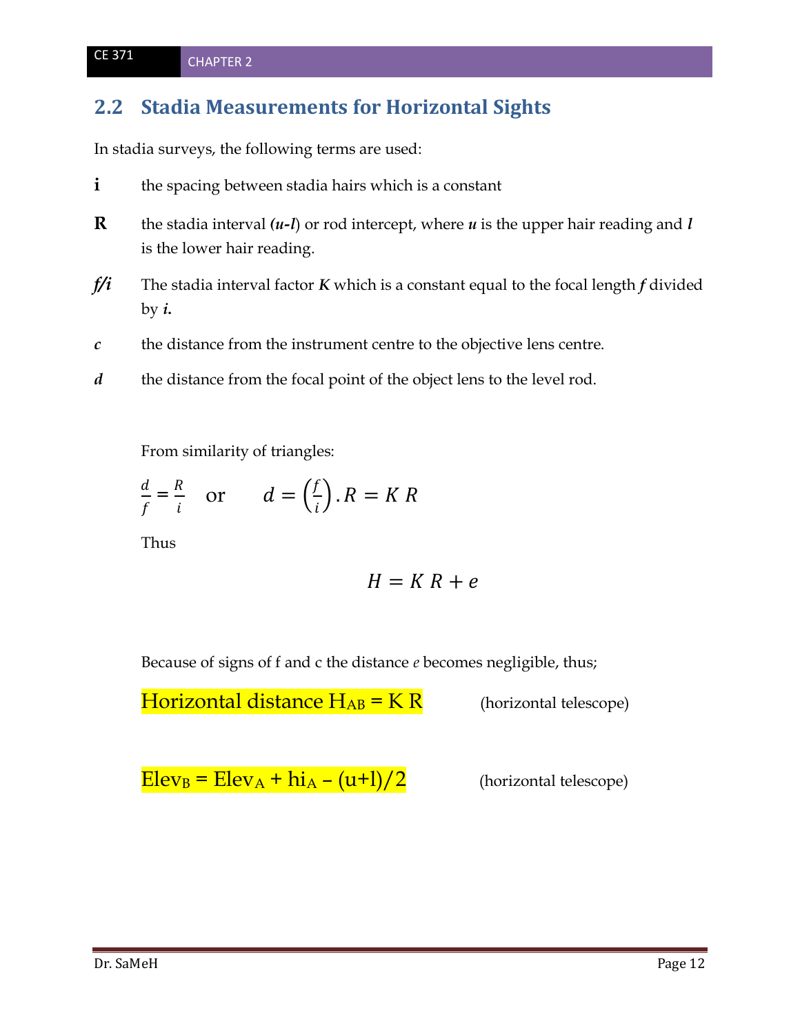## **2.2 Stadia Measurements for Horizontal Sights**

In stadia surveys, the following terms are used:

- **i** the spacing between stadia hairs which is a constant
- **R** the stadia interval  $(u-l)$  or rod intercept, where  $u$  is the upper hair reading and *l* is the lower hair reading.
- *f/i* The stadia interval factor *K* which is a constant equal to the focal length *f* divided by  $i$ .
- *c* the distance from the instrument centre to the objective lens centre.
- *d* the distance from the focal point of the object lens to the level rod.

From similarity of triangles:

$$
\frac{d}{f} = \frac{R}{i} \quad \text{or} \quad d = \left(\frac{f}{i}\right).R = KR
$$

Thus

$$
H = K R + e
$$

Because of signs of f and c the distance *e* becomes negligible, thus;

**Horizontal distance**  $H_{AB} = K R$  (horizontal telescope)

 $Elev_B = Elev_A + hi_A - (u+1)/2$  (horizontal telescope)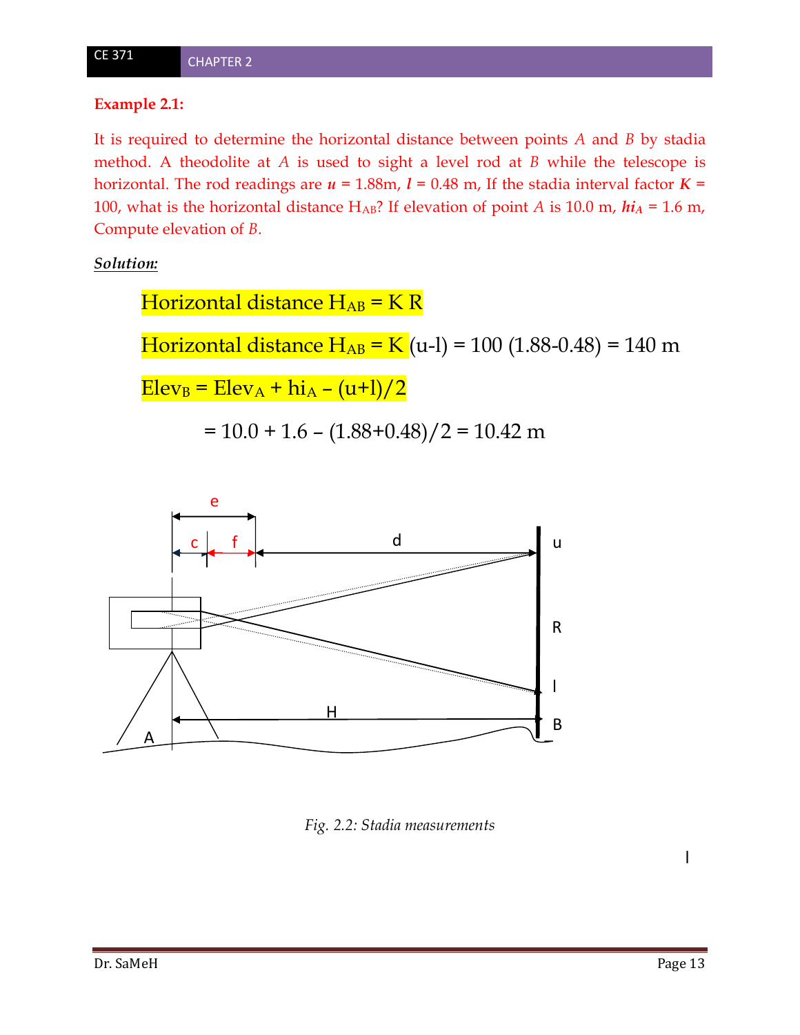### **Example 2.1:**

It is required to determine the horizontal distance between points *A* and *B* by stadia method. A theodolite at *A* is used to sight a level rod at *B* while the telescope is horizontal. The rod readings are  $u = 1.88$ m,  $l = 0.48$  m, If the stadia interval factor  $K =$ 100, what is the horizontal distance HAB? If elevation of point *A* is 10.0 m, *hi<sup>A</sup>* = 1.6 m, Compute elevation of *B*.

*Solution:*

Horizontal distance  $H_{AB}$  = K R Horizontal distance  $H_{AB} = K(u-1) = 100 (1.88-0.48) = 140 m$  $Elev_B = Elev_A + hi_A - (u+1)/2$  $= 10.0 + 1.6 - (1.88 + 0.48)/2 = 10.42$  m



*Fig. 2.2: Stadia measurements*

l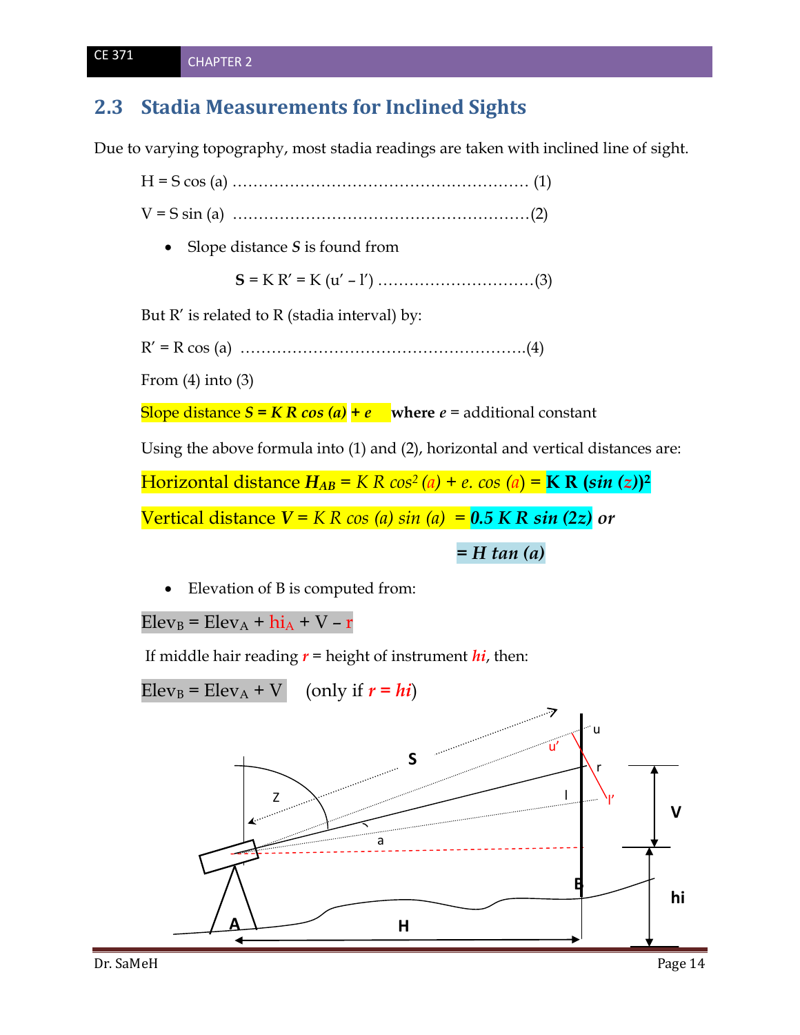# **2.3 Stadia Measurements for Inclined Sights**

Due to varying topography, most stadia readings are taken with inclined line of sight.

H = S cos (a) ………………………………………………… (1) V = S sin (a) …………………………………………………(2) • Slope distance *S* is found from **S** = K R' = K (u' – l') …………………………(3) But  $R'$  is related to  $R$  (stadia interval) by: R' = R cos (a) ……………………………………………….(4) From  $(4)$  into  $(3)$ 

Slope distance  $S = KR \cos(a) + e$  where  $e =$  additional constant

Using the above formula into (1) and (2), horizontal and vertical distances are:

Horizontal distance *HAB = K R cos<sup>2</sup> (a)* + *e. cos (a*) = **K R (***sin (z)***) 2**

Vertical distance  $V = KR \cos(a) \sin(a) = 0.5 KR \sin(2z)$  or

 *= H tan (a)*

Elevation of B is computed from:

 $Elev_B = Elev_A + hi_A + V - r$ 

If middle hair reading  $r =$  height of instrument  $hi$ , then:

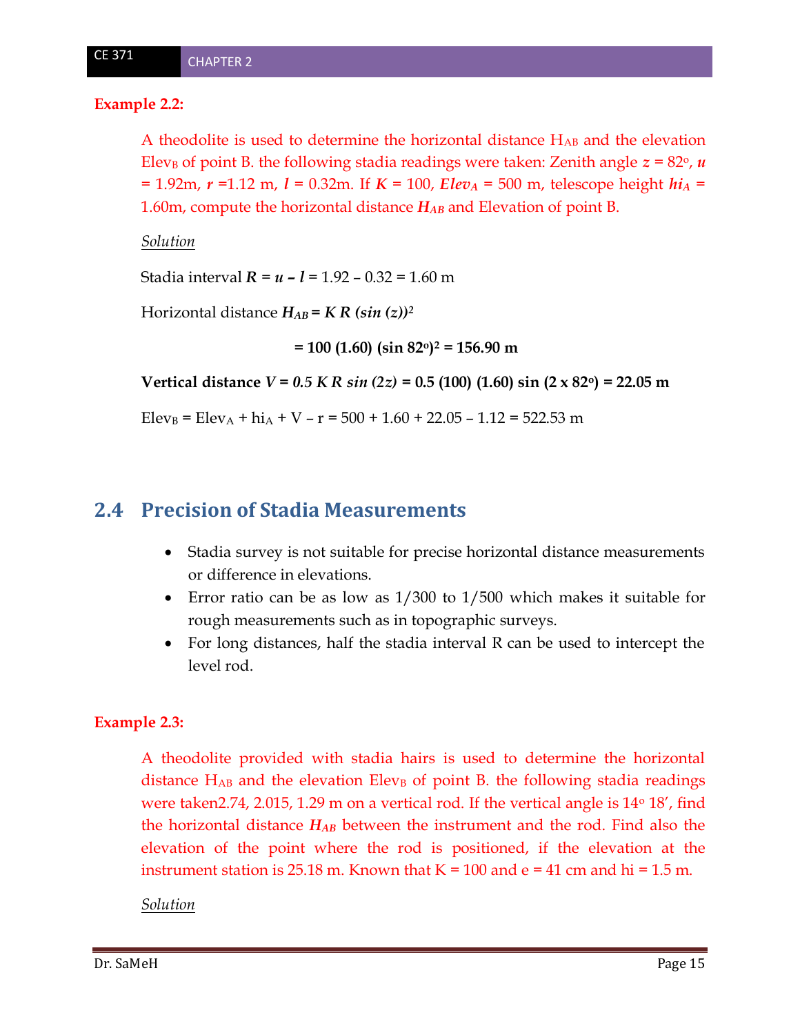#### **Example 2.2:**

A theodolite is used to determine the horizontal distance HAB and the elevation Elev<sub>B</sub> of point B. the following stadia readings were taken: Zenith angle  $z = 82^{\circ}$ ,  $u$  $= 1.92$ m,  $r = 1.12$  m,  $l = 0.32$ m. If  $K = 100$ , *Elev<sub>A</sub>* = 500 m, telescope height *hi*<sub>*A*</sub> = 1.60m, compute the horizontal distance *HAB* and Elevation of point B.

#### *Solution*

Stadia interval *R* = *u – l* = 1.92 – 0.32 = 1.60 m

Horizontal distance  $H_{AB} = K R (\sin{(z)})^2$ 

 **= 100 (1.60) (sin 82o) <sup>2</sup> = 156.90 m**

**Vertical distance** *V* **=** *0.5 K R sin (2z)* **= 0.5 (100) (1.60) sin (2 x 82o) = 22.05 m**

Elev<sub>B</sub> = Elev<sub>A</sub> + hi<sub>A</sub> + V – r = 500 + 1.60 + 22.05 – 1.12 = 522.53 m

### **2.4 Precision of Stadia Measurements**

- Stadia survey is not suitable for precise horizontal distance measurements or difference in elevations.
- Error ratio can be as low as 1/300 to 1/500 which makes it suitable for rough measurements such as in topographic surveys.
- For long distances, half the stadia interval R can be used to intercept the level rod.

#### **Example 2.3:**

A theodolite provided with stadia hairs is used to determine the horizontal distance  $H_{AB}$  and the elevation Elev<sub>B</sub> of point B. the following stadia readings were taken 2.74, 2.015, 1.29 m on a vertical rod. If the vertical angle is  $14^{\circ}$  18', find the horizontal distance *HAB* between the instrument and the rod. Find also the elevation of the point where the rod is positioned, if the elevation at the instrument station is 25.18 m. Known that  $K = 100$  and  $e = 41$  cm and  $hi = 1.5$  m.

#### *Solution*